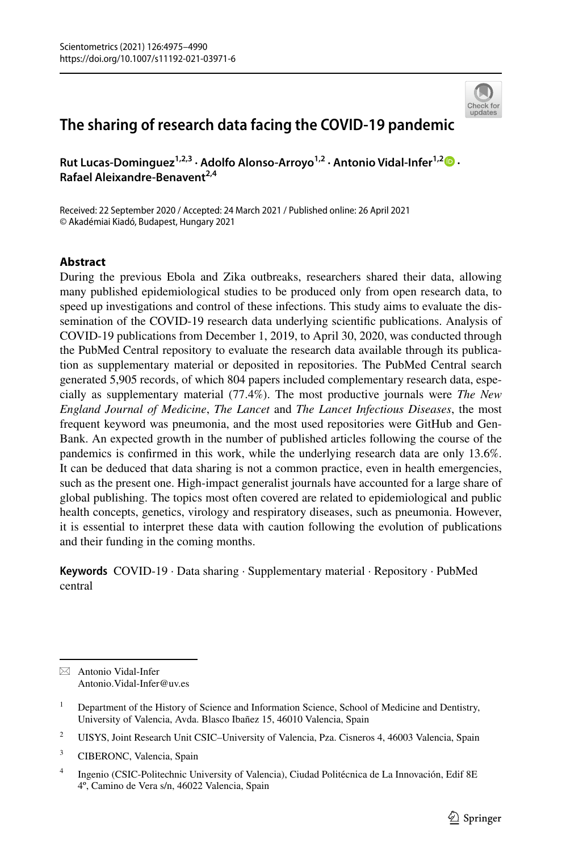# **The sharing of research data facing the COVID‑19 pandemic**

Rut Lucas-Dominguez<sup>1,2,3</sup> [·](http://orcid.org/0000-0002-7860-8652) Adolfo Alonso-Arroyo<sup>1,2</sup> · Antonio Vidal-Infer<sup>1,2</sup> <sup>0</sup> · **Rafael Aleixandre‑Benavent2,4**

Received: 22 September 2020 / Accepted: 24 March 2021 / Published online: 26 April 2021 © Akadémiai Kiadó, Budapest, Hungary 2021

#### **Abstract**

During the previous Ebola and Zika outbreaks, researchers shared their data, allowing many published epidemiological studies to be produced only from open research data, to speed up investigations and control of these infections. This study aims to evaluate the dissemination of the COVID-19 research data underlying scientifc publications. Analysis of COVID-19 publications from December 1, 2019, to April 30, 2020, was conducted through the PubMed Central repository to evaluate the research data available through its publication as supplementary material or deposited in repositories. The PubMed Central search generated 5,905 records, of which 804 papers included complementary research data, especially as supplementary material (77.4%). The most productive journals were *The New England Journal of Medicine*, *The Lancet* and *The Lancet Infectious Diseases*, the most frequent keyword was pneumonia, and the most used repositories were GitHub and Gen-Bank. An expected growth in the number of published articles following the course of the pandemics is confrmed in this work, while the underlying research data are only 13.6%. It can be deduced that data sharing is not a common practice, even in health emergencies, such as the present one. High-impact generalist journals have accounted for a large share of global publishing. The topics most often covered are related to epidemiological and public health concepts, genetics, virology and respiratory diseases, such as pneumonia. However, it is essential to interpret these data with caution following the evolution of publications and their funding in the coming months.

**Keywords** COVID-19 · Data sharing · Supplementary material · Repository · PubMed central



 $\boxtimes$  Antonio Vidal-Infer Antonio.Vidal-Infer@uv.es

<sup>&</sup>lt;sup>1</sup> Department of the History of Science and Information Science, School of Medicine and Dentistry, University of Valencia, Avda. Blasco Ibañez 15, 46010 Valencia, Spain

<sup>&</sup>lt;sup>2</sup> UISYS, Joint Research Unit CSIC–University of Valencia, Pza. Cisneros 4, 46003 Valencia, Spain

<sup>&</sup>lt;sup>3</sup> CIBERONC, Valencia, Spain

<sup>4</sup> Ingenio (CSIC-Politechnic University of Valencia), Ciudad Politécnica de La Innovación, Edif 8E 4º, Camino de Vera s/n, 46022 Valencia, Spain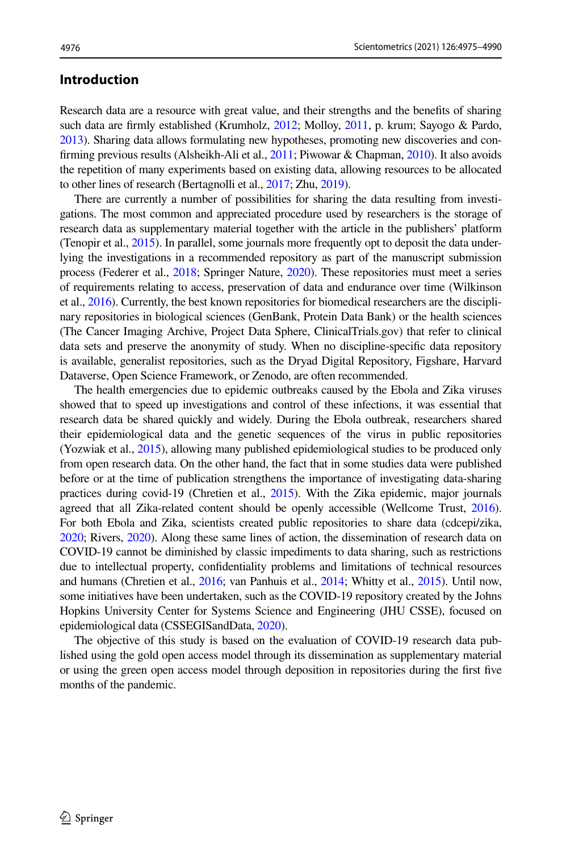#### **Introduction**

Research data are a resource with great value, and their strengths and the benefts of sharing such data are frmly established (Krumholz, [2012;](#page-14-0) Molloy, [2011](#page-14-1), p. krum; Sayogo & Pardo, [2013](#page-14-2)). Sharing data allows formulating new hypotheses, promoting new discoveries and confrming previous results (Alsheikh-Ali et al., [2011;](#page-13-0) Piwowar & Chapman, [2010\)](#page-14-3). It also avoids the repetition of many experiments based on existing data, allowing resources to be allocated to other lines of research (Bertagnolli et al., [2017;](#page-13-1) Zhu, [2019](#page-15-0)).

There are currently a number of possibilities for sharing the data resulting from investigations. The most common and appreciated procedure used by researchers is the storage of research data as supplementary material together with the article in the publishers' platform (Tenopir et al., [2015](#page-14-4)). In parallel, some journals more frequently opt to deposit the data underlying the investigations in a recommended repository as part of the manuscript submission process (Federer et al., [2018;](#page-13-2) Springer Nature, [2020\)](#page-14-5). These repositories must meet a series of requirements relating to access, preservation of data and endurance over time (Wilkinson et al., [2016](#page-15-1)). Currently, the best known repositories for biomedical researchers are the disciplinary repositories in biological sciences (GenBank, Protein Data Bank) or the health sciences (The Cancer Imaging Archive, Project Data Sphere, ClinicalTrials.gov) that refer to clinical data sets and preserve the anonymity of study. When no discipline-specifc data repository is available, generalist repositories, such as the Dryad Digital Repository, Figshare, Harvard Dataverse, Open Science Framework, or Zenodo, are often recommended.

The health emergencies due to epidemic outbreaks caused by the Ebola and Zika viruses showed that to speed up investigations and control of these infections, it was essential that research data be shared quickly and widely. During the Ebola outbreak, researchers shared their epidemiological data and the genetic sequences of the virus in public repositories (Yozwiak et al., [2015](#page-15-2)), allowing many published epidemiological studies to be produced only from open research data. On the other hand, the fact that in some studies data were published before or at the time of publication strengthens the importance of investigating data-sharing practices during covid-19 (Chretien et al., [2015](#page-13-3)). With the Zika epidemic, major journals agreed that all Zika-related content should be openly accessible (Wellcome Trust, [2016](#page-14-6)). For both Ebola and Zika, scientists created public repositories to share data (cdcepi/zika, [2020](#page-13-4); Rivers, [2020\)](#page-14-7). Along these same lines of action, the dissemination of research data on COVID-19 cannot be diminished by classic impediments to data sharing, such as restrictions due to intellectual property, confdentiality problems and limitations of technical resources and humans (Chretien et al., [2016](#page-13-5); van Panhuis et al., [2014](#page-14-8); Whitty et al., [2015](#page-15-3)). Until now, some initiatives have been undertaken, such as the COVID-19 repository created by the Johns Hopkins University Center for Systems Science and Engineering (JHU CSSE), focused on epidemiological data (CSSEGISandData, [2020\)](#page-13-6).

The objective of this study is based on the evaluation of COVID-19 research data published using the gold open access model through its dissemination as supplementary material or using the green open access model through deposition in repositories during the frst fve months of the pandemic.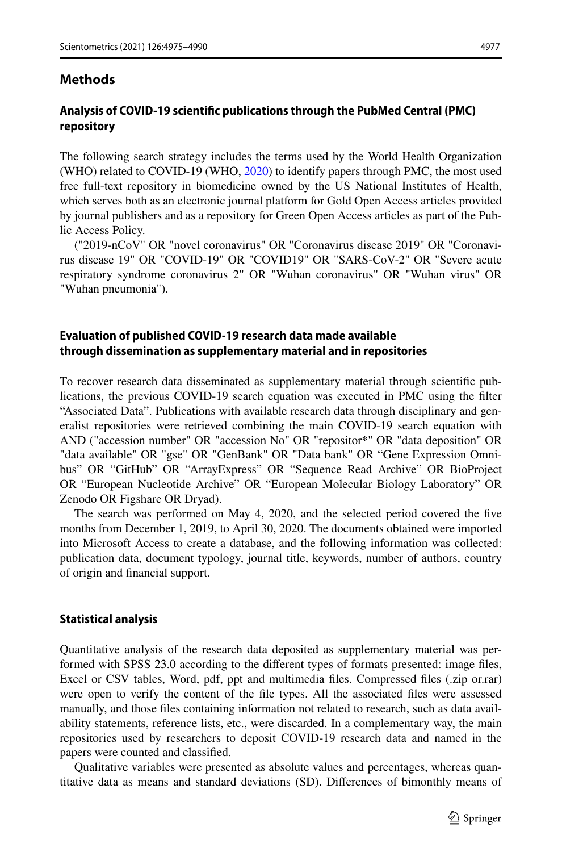### **Methods**

#### **Analysis of COVID‑19 scientifc publications through the PubMed Central (PMC) repository**

The following search strategy includes the terms used by the World Health Organization (WHO) related to COVID-19 (WHO, [2020\)](#page-15-4) to identify papers through PMC, the most used free full-text repository in biomedicine owned by the US National Institutes of Health, which serves both as an electronic journal platform for Gold Open Access articles provided by journal publishers and as a repository for Green Open Access articles as part of the Public Access Policy.

("2019-nCoV" OR "novel coronavirus" OR "Coronavirus disease 2019" OR "Coronavirus disease 19" OR "COVID-19" OR "COVID19" OR "SARS-CoV-2" OR "Severe acute respiratory syndrome coronavirus 2" OR "Wuhan coronavirus" OR "Wuhan virus" OR "Wuhan pneumonia").

## **Evaluation of published COVID‑19 research data made available through dissemination as supplementary material and in repositories**

To recover research data disseminated as supplementary material through scientifc publications, the previous COVID-19 search equation was executed in PMC using the flter "Associated Data". Publications with available research data through disciplinary and generalist repositories were retrieved combining the main COVID-19 search equation with AND ("accession number" OR "accession No" OR "repositor\*" OR "data deposition" OR "data available" OR "gse" OR "GenBank" OR "Data bank" OR "Gene Expression Omnibus" OR "GitHub" OR "ArrayExpress" OR "Sequence Read Archive" OR BioProject OR "European Nucleotide Archive" OR "European Molecular Biology Laboratory" OR Zenodo OR Figshare OR Dryad).

The search was performed on May 4, 2020, and the selected period covered the fve months from December 1, 2019, to April 30, 2020. The documents obtained were imported into Microsoft Access to create a database, and the following information was collected: publication data, document typology, journal title, keywords, number of authors, country of origin and fnancial support.

#### **Statistical analysis**

Quantitative analysis of the research data deposited as supplementary material was performed with SPSS 23.0 according to the diferent types of formats presented: image fles, Excel or CSV tables, Word, pdf, ppt and multimedia fles. Compressed fles (.zip or.rar) were open to verify the content of the fle types. All the associated fles were assessed manually, and those fles containing information not related to research, such as data availability statements, reference lists, etc., were discarded. In a complementary way, the main repositories used by researchers to deposit COVID-19 research data and named in the papers were counted and classifed.

Qualitative variables were presented as absolute values and percentages, whereas quantitative data as means and standard deviations (SD). Diferences of bimonthly means of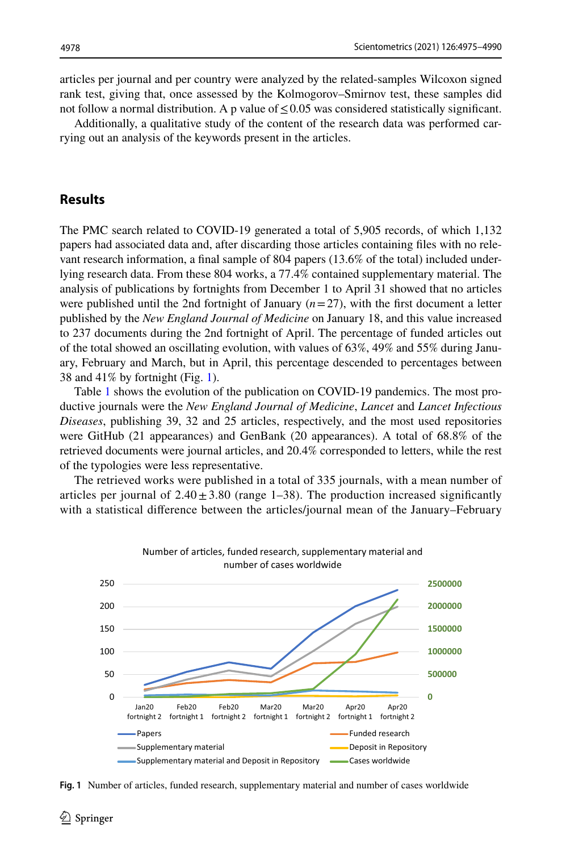articles per journal and per country were analyzed by the related-samples Wilcoxon signed rank test, giving that, once assessed by the Kolmogorov–Smirnov test, these samples did not follow a normal distribution. A p value of  $\leq$  0.05 was considered statistically significant.

Additionally, a qualitative study of the content of the research data was performed carrying out an analysis of the keywords present in the articles.

### **Results**

The PMC search related to COVID-19 generated a total of 5,905 records, of which 1,132 papers had associated data and, after discarding those articles containing fles with no relevant research information, a fnal sample of 804 papers (13.6% of the total) included underlying research data. From these 804 works, a 77.4% contained supplementary material. The analysis of publications by fortnights from December 1 to April 31 showed that no articles were published until the 2nd fortnight of January  $(n=27)$ , with the first document a letter published by the *New England Journal of Medicine* on January 18, and this value increased to 237 documents during the 2nd fortnight of April. The percentage of funded articles out of the total showed an oscillating evolution, with values of 63%, 49% and 55% during January, February and March, but in April, this percentage descended to percentages between 38 and 41% by fortnight (Fig. [1](#page-3-0)).

Table [1](#page-4-0) shows the evolution of the publication on COVID-19 pandemics. The most productive journals were the *New England Journal of Medicine*, *Lancet* and *Lancet Infectious Diseases*, publishing 39, 32 and 25 articles, respectively, and the most used repositories were GitHub (21 appearances) and GenBank (20 appearances). A total of 68.8% of the retrieved documents were journal articles, and 20.4% corresponded to letters, while the rest of the typologies were less representative.

The retrieved works were published in a total of 335 journals, with a mean number of articles per journal of  $2.40 \pm 3.80$  (range 1–38). The production increased significantly with a statistical diference between the articles/journal mean of the January–February



<span id="page-3-0"></span>**Fig. 1** Number of articles, funded research, supplementary material and number of cases worldwide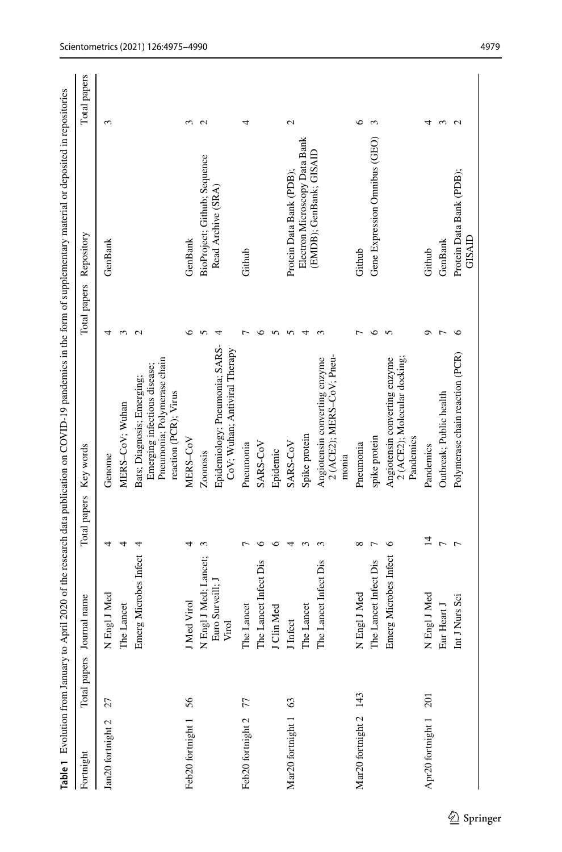<span id="page-4-0"></span>

|                               |              |                           |                | Table 1 Evolution from January to April 2020 of the research data publication on COVID-19 pandemics in the form of supplementary material or deposited in repositories |                   |                                    |                   |
|-------------------------------|--------------|---------------------------|----------------|------------------------------------------------------------------------------------------------------------------------------------------------------------------------|-------------------|------------------------------------|-------------------|
| Fortnight                     | Total papers | Journal name              | Total papers   | Key words                                                                                                                                                              | Total papers      | Repository                         | Total papers      |
| Jan20 fortnight 2             | 27           | Engl J Med<br>Z           | 4              | Genome                                                                                                                                                                 | 4                 | GenBank                            | 3                 |
|                               |              | The Lancet                | 4              | MERS-CoV: Wuhan                                                                                                                                                        | 3                 |                                    |                   |
|                               |              | Emerg Microbes Infect     | 4              | Pneumonia; Polymerase chain<br>Emerging infectious disease;<br>Bats; Diagnosis; Emerging;<br>reaction (PCR); Virus                                                     | $\mathbf{\Omega}$ |                                    |                   |
| Feb <sub>20</sub> fortnight 1 | 56           | J Med Virol               | ᆉ              | MERS-CoV                                                                                                                                                               | ७                 | GenBank                            | 3                 |
|                               |              | Engl J Med; Lancet;<br>Z  | 3              | Zoonosis                                                                                                                                                               |                   | BioProject; Github; Sequence       | $\mathbf{\Omega}$ |
|                               |              | Euro Surveill; J<br>Virol |                | Epidemiology; Pneumonia; SARS-<br>CoV; Wuhan; Antiviral Therapy                                                                                                        | 4                 | Read Archive (SRA)                 |                   |
| Feb20 fortnight 2             | 77           | The Lancet                | ⊢              | Pneumonia                                                                                                                                                              |                   | Github                             | 4                 |
|                               |              | The Lancet Infect Dis     | ७              | SARS-CoV                                                                                                                                                               | ∘                 |                                    |                   |
|                               |              | J Clin Med                | ७              | Epidemic                                                                                                                                                               |                   |                                    |                   |
| Mar20 fortnight 1             | 63           | J Infect                  | 4              | SARS-CoV                                                                                                                                                               |                   | Protein Data Bank (PDB);           | $\mathcal{L}$     |
|                               |              | The Lancet                | ç              | Spike protein                                                                                                                                                          |                   | Electron Microscopy Data Bank      |                   |
|                               |              | The Lancet Infect Dis     |                | 2 (ACE2); MERS-CoV; Pneu-<br>Angiotensin converting enzyme<br>monia                                                                                                    |                   | (EMDB); GenBank; GISAID            |                   |
| Mar <sub>20</sub> fortnight 2 | 143          | N Engl J Med              | $\infty$       | Pneumonia                                                                                                                                                              |                   | Github                             | ∘                 |
|                               |              | The Lancet Infect Dis     | ┍              | spike protein                                                                                                                                                          | $\circ$           | Gene Expression Omnibus (GEO)      | 3                 |
|                               |              | Emerg Microbes Infect     | ७              | 2 (ACE2); Molecular docking;<br>Angiotensin converting enzyme<br>Pandemics                                                                                             | 5                 |                                    |                   |
| Apr20 fortnight 1             | 201          | N Engl J Med              | $\overline{1}$ | Pandemics                                                                                                                                                              | ٥                 | Github                             | 4                 |
|                               |              | Eur Heart J               | $\overline{ }$ | Outbreak; Public health                                                                                                                                                |                   | GenBank                            | $\epsilon$        |
|                               |              | Int J Nurs Sci            | $\overline{ }$ | Polymerase chain reaction (PCR)                                                                                                                                        | ७                 | Protein Data Bank (PDB);<br>GISAID | $\mathbf{C}$      |
|                               |              |                           |                |                                                                                                                                                                        |                   |                                    |                   |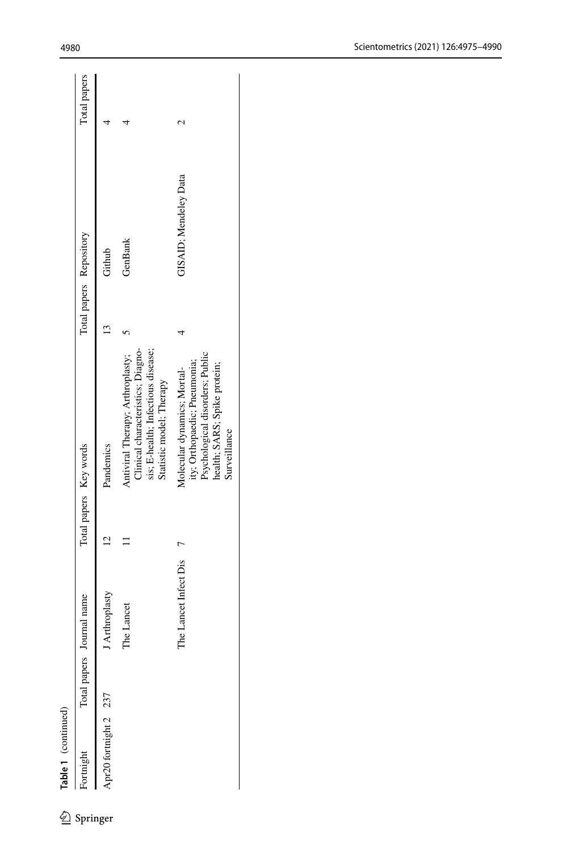| Table 1 (continued)  |                     |                       |                        |                                                                                                                                                |                         |                       |              |
|----------------------|---------------------|-----------------------|------------------------|------------------------------------------------------------------------------------------------------------------------------------------------|-------------------------|-----------------------|--------------|
| tnight<br>Springer   | <b>lotal</b> papers | lournal name          | Total papers Key words |                                                                                                                                                | Total papers Repository |                       | Total papers |
| pr20 fortnight 2 237 |                     | I Arthroplasty        |                        | Pandemics                                                                                                                                      |                         | Github                |              |
|                      |                     | The Lancet            |                        | Clinical characteristics; Diagno-<br>sis; E-health; Infectious disease;<br>Antiviral Therapy; Arthroplasty;<br>Statistic model; Therapy        |                         | GenBank               |              |
|                      |                     | The Lancet Infect Dis |                        | Psychological disorders; Public<br>ity; Orthopaedic; Pneumonia;<br>health; SARS; Spike protein;<br>Molecular dynamics; Mortal-<br>Surveillance |                         | GISAID; Mendeley Data |              |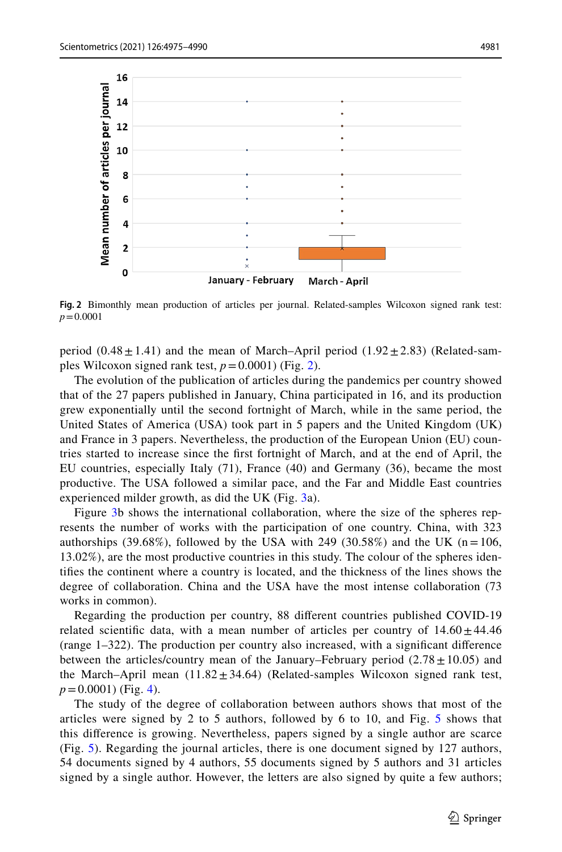

<span id="page-6-0"></span>**Fig. 2** Bimonthly mean production of articles per journal. Related-samples Wilcoxon signed rank test: *p*=0.0001

period  $(0.48 \pm 1.41)$  and the mean of March–April period  $(1.92 \pm 2.83)$  (Related-samples Wilcoxon signed rank test,  $p = 0.0001$ ) (Fig. [2](#page-6-0)).

The evolution of the publication of articles during the pandemics per country showed that of the 27 papers published in January, China participated in 16, and its production grew exponentially until the second fortnight of March, while in the same period, the United States of America (USA) took part in 5 papers and the United Kingdom (UK) and France in 3 papers. Nevertheless, the production of the European Union (EU) countries started to increase since the frst fortnight of March, and at the end of April, the EU countries, especially Italy (71), France (40) and Germany (36), became the most productive. The USA followed a similar pace, and the Far and Middle East countries experienced milder growth, as did the UK (Fig. [3](#page-7-0)a).

Figure [3](#page-7-0)b shows the international collaboration, where the size of the spheres represents the number of works with the participation of one country. China, with 323 authorships (39.68%), followed by the USA with 249 (30.58%) and the UK ( $n=106$ , 13.02%), are the most productive countries in this study. The colour of the spheres identifes the continent where a country is located, and the thickness of the lines shows the degree of collaboration. China and the USA have the most intense collaboration (73 works in common).

Regarding the production per country, 88 diferent countries published COVID-19 related scientific data, with a mean number of articles per country of  $14.60 \pm 44.46$ (range 1–322). The production per country also increased, with a signifcant diference between the articles/country mean of the January–February period  $(2.78 \pm 10.05)$  and the March–April mean  $(11.82 \pm 34.64)$  (Related-samples Wilcoxon signed rank test,  $p=0.0001$ ) (Fig. [4\)](#page-8-0).

The study of the degree of collaboration between authors shows that most of the articles were signed by 2 to 5 authors, followed by 6 to 10, and Fig. [5](#page-8-1) shows that this diference is growing. Nevertheless, papers signed by a single author are scarce (Fig. [5\)](#page-8-1). Regarding the journal articles, there is one document signed by 127 authors, 54 documents signed by 4 authors, 55 documents signed by 5 authors and 31 articles signed by a single author. However, the letters are also signed by quite a few authors;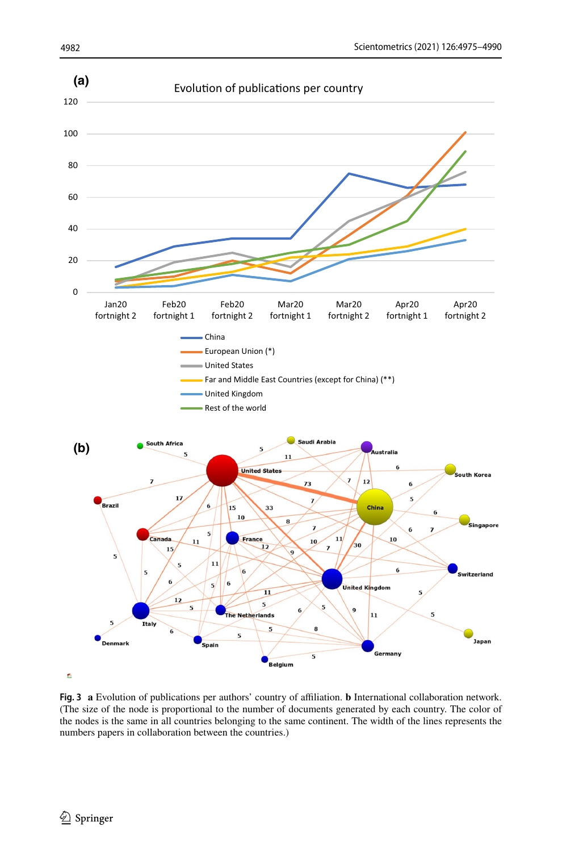

<span id="page-7-0"></span>**Fig. 3 a** Evolution of publications per authors' country of afliation. **b** International collaboration network. (The size of the node is proportional to the number of documents generated by each country. The color of the nodes is the same in all countries belonging to the same continent. The width of the lines represents the numbers papers in collaboration between the countries.)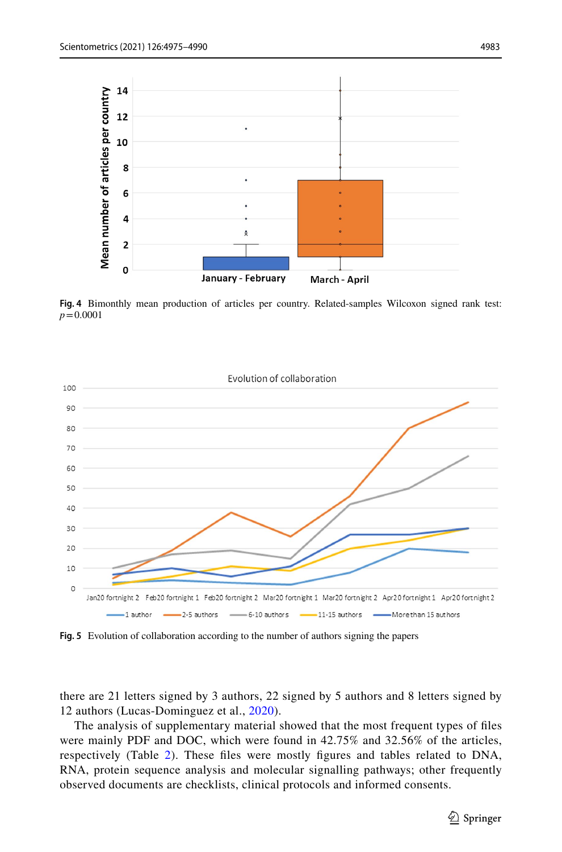

<span id="page-8-0"></span>**Fig. 4** Bimonthly mean production of articles per country. Related-samples Wilcoxon signed rank test: *p*=0.0001



<span id="page-8-1"></span>**Fig. 5** Evolution of collaboration according to the number of authors signing the papers

there are 21 letters signed by 3 authors, 22 signed by 5 authors and 8 letters signed by 12 authors (Lucas-Dominguez et al., [2020](#page-14-9)).

The analysis of supplementary material showed that the most frequent types of fles were mainly PDF and DOC, which were found in 42.75% and 32.56% of the articles, respectively (Table [2\)](#page-9-0). These fles were mostly fgures and tables related to DNA, RNA, protein sequence analysis and molecular signalling pathways; other frequently observed documents are checklists, clinical protocols and informed consents.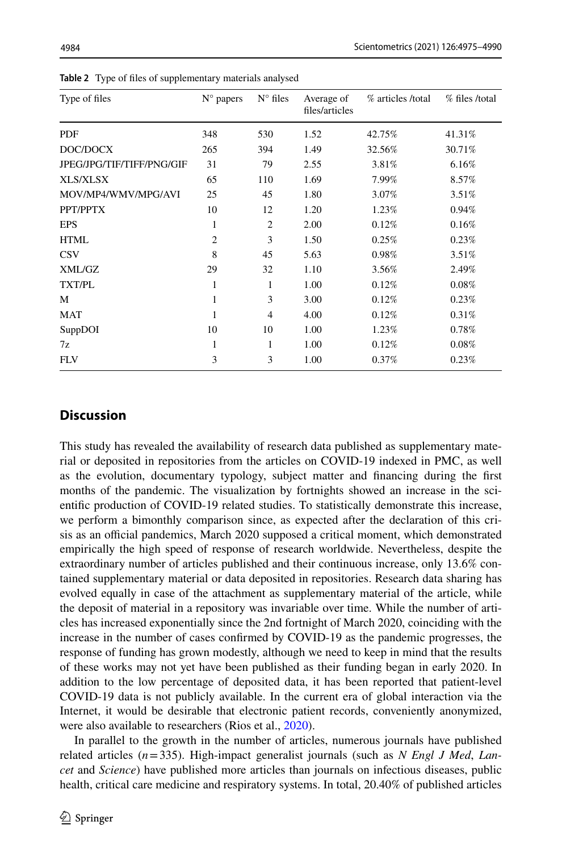| Type of files             | $N^{\circ}$ papers | $N^{\circ}$ files | Average of<br>files/articles | % articles /total | % files /total |
|---------------------------|--------------------|-------------------|------------------------------|-------------------|----------------|
| PDF                       | 348                | 530               | 1.52                         | 42.75%            | 41.31%         |
| DOC/DOCX                  | 265                | 394               | 1.49                         | 32.56%            | 30.71%         |
| JPEG/JPG/TIF/TIFF/PNG/GIF | 31                 | 79                | 2.55                         | 3.81%             | 6.16%          |
| XLS/XLSX                  | 65                 | 110               | 1.69                         | 7.99%             | 8.57%          |
| MOV/MP4/WMV/MPG/AVI       | 25                 | 45                | 1.80                         | 3.07%             | 3.51%          |
| PPT/PPTX                  | 10                 | 12                | 1.20                         | 1.23%             | 0.94%          |
| <b>EPS</b>                | 1                  | $\overline{c}$    | 2.00                         | 0.12%             | 0.16%          |
| <b>HTML</b>               | $\overline{2}$     | 3                 | 1.50                         | 0.25%             | 0.23%          |
| <b>CSV</b>                | 8                  | 45                | 5.63                         | 0.98%             | 3.51%          |
| XML/GZ                    | 29                 | 32                | 1.10                         | 3.56%             | 2.49%          |
| <b>TXT/PL</b>             | 1                  | 1                 | 1.00                         | 0.12%             | 0.08%          |
| М                         | 1                  | 3                 | 3.00                         | 0.12%             | 0.23%          |
| <b>MAT</b>                | 1                  | $\overline{4}$    | 4.00                         | 0.12%             | 0.31%          |
| SuppDOI                   | 10                 | 10                | 1.00                         | 1.23%             | 0.78%          |
| 7z                        | 1                  | 1                 | 1.00                         | 0.12%             | 0.08%          |
| <b>FLV</b>                | 3                  | 3                 | 1.00                         | 0.37%             | 0.23%          |

<span id="page-9-0"></span>**Table 2** Type of fles of supplementary materials analysed

## **Discussion**

This study has revealed the availability of research data published as supplementary material or deposited in repositories from the articles on COVID-19 indexed in PMC, as well as the evolution, documentary typology, subject matter and fnancing during the frst months of the pandemic. The visualization by fortnights showed an increase in the scientifc production of COVID-19 related studies. To statistically demonstrate this increase, we perform a bimonthly comparison since, as expected after the declaration of this crisis as an official pandemics, March 2020 supposed a critical moment, which demonstrated empirically the high speed of response of research worldwide. Nevertheless, despite the extraordinary number of articles published and their continuous increase, only 13.6% contained supplementary material or data deposited in repositories. Research data sharing has evolved equally in case of the attachment as supplementary material of the article, while the deposit of material in a repository was invariable over time. While the number of articles has increased exponentially since the 2nd fortnight of March 2020, coinciding with the increase in the number of cases confrmed by COVID-19 as the pandemic progresses, the response of funding has grown modestly, although we need to keep in mind that the results of these works may not yet have been published as their funding began in early 2020. In addition to the low percentage of deposited data, it has been reported that patient-level COVID-19 data is not publicly available. In the current era of global interaction via the Internet, it would be desirable that electronic patient records, conveniently anonymized, were also available to researchers (Rios et al., [2020](#page-14-10)).

In parallel to the growth in the number of articles, numerous journals have published related articles (*n*=335). High-impact generalist journals (such as *N Engl J Med*, *Lancet* and *Science*) have published more articles than journals on infectious diseases, public health, critical care medicine and respiratory systems. In total, 20.40% of published articles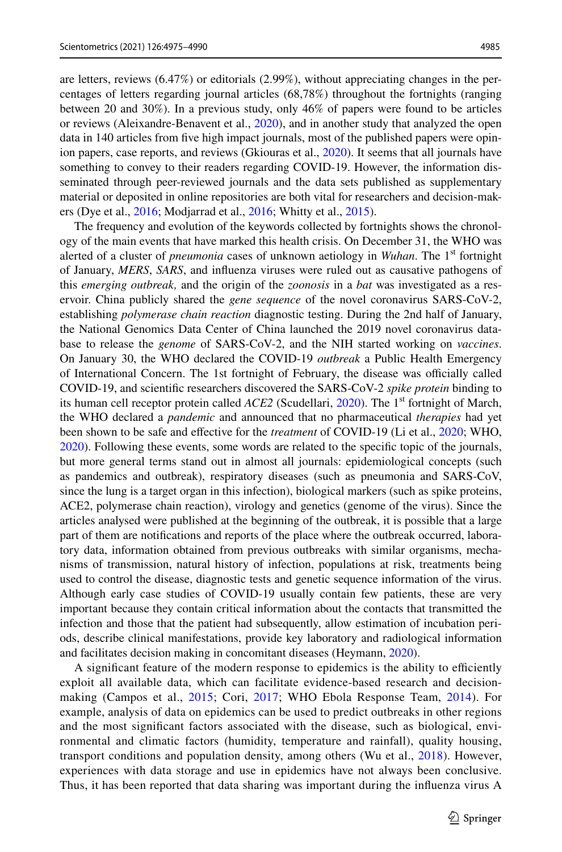are letters, reviews (6.47%) or editorials (2.99%), without appreciating changes in the percentages of letters regarding journal articles (68,78%) throughout the fortnights (ranging between 20 and 30%). In a previous study, only 46% of papers were found to be articles or reviews (Aleixandre-Benavent et al., [2020\)](#page-13-7), and in another study that analyzed the open data in 140 articles from fve high impact journals, most of the published papers were opinion papers, case reports, and reviews (Gkiouras et al., [2020](#page-13-8)). It seems that all journals have something to convey to their readers regarding COVID-19. However, the information disseminated through peer-reviewed journals and the data sets published as supplementary material or deposited in online repositories are both vital for researchers and decision-makers (Dye et al., [2016;](#page-13-9) Modjarrad et al., [2016](#page-14-11); Whitty et al., [2015](#page-15-3)).

The frequency and evolution of the keywords collected by fortnights shows the chronology of the main events that have marked this health crisis. On December 31, the WHO was alerted of a cluster of *pneumonia* cases of unknown aetiology in *Wuhan*. The 1<sup>st</sup> fortnight of January, *MERS*, *SARS*, and infuenza viruses were ruled out as causative pathogens of this *emerging outbreak,* and the origin of the *zoonosis* in a *bat* was investigated as a reservoir. China publicly shared the *gene sequence* of the novel coronavirus SARS-CoV-2, establishing *polymerase chain reaction* diagnostic testing. During the 2nd half of January, the National Genomics Data Center of China launched the 2019 novel coronavirus database to release the *genome* of SARS-CoV-2, and the NIH started working on *vaccines*. On January 30, the WHO declared the COVID-19 *outbreak* a Public Health Emergency of International Concern. The 1st fortnight of February, the disease was officially called COVID-19, and scientifc researchers discovered the SARS-CoV-2 *spike protein* binding to its human cell receptor protein called *ACE2* (Scudellari, [2020](#page-14-12)). The 1<sup>st</sup> fortnight of March, the WHO declared a *pandemic* and announced that no pharmaceutical *therapies* had yet been shown to be safe and efective for the *treatment* of COVID-19 (Li et al., [2020](#page-14-0); WHO, [2020\)](#page-15-4). Following these events, some words are related to the specifc topic of the journals, but more general terms stand out in almost all journals: epidemiological concepts (such as pandemics and outbreak), respiratory diseases (such as pneumonia and SARS-CoV, since the lung is a target organ in this infection), biological markers (such as spike proteins, ACE2, polymerase chain reaction), virology and genetics (genome of the virus). Since the articles analysed were published at the beginning of the outbreak, it is possible that a large part of them are notifcations and reports of the place where the outbreak occurred, laboratory data, information obtained from previous outbreaks with similar organisms, mechanisms of transmission, natural history of infection, populations at risk, treatments being used to control the disease, diagnostic tests and genetic sequence information of the virus. Although early case studies of COVID-19 usually contain few patients, these are very important because they contain critical information about the contacts that transmitted the infection and those that the patient had subsequently, allow estimation of incubation periods, describe clinical manifestations, provide key laboratory and radiological information and facilitates decision making in concomitant diseases (Heymann, [2020](#page-13-10)).

A significant feature of the modern response to epidemics is the ability to efficiently exploit all available data, which can facilitate evidence-based research and decisionmaking (Campos et al., [2015](#page-13-11); Cori, [2017;](#page-13-12) WHO Ebola Response Team, [2014](#page-15-5)). For example, analysis of data on epidemics can be used to predict outbreaks in other regions and the most signifcant factors associated with the disease, such as biological, environmental and climatic factors (humidity, temperature and rainfall), quality housing, transport conditions and population density, among others (Wu et al., [2018\)](#page-15-6). However, experiences with data storage and use in epidemics have not always been conclusive. Thus, it has been reported that data sharing was important during the infuenza virus A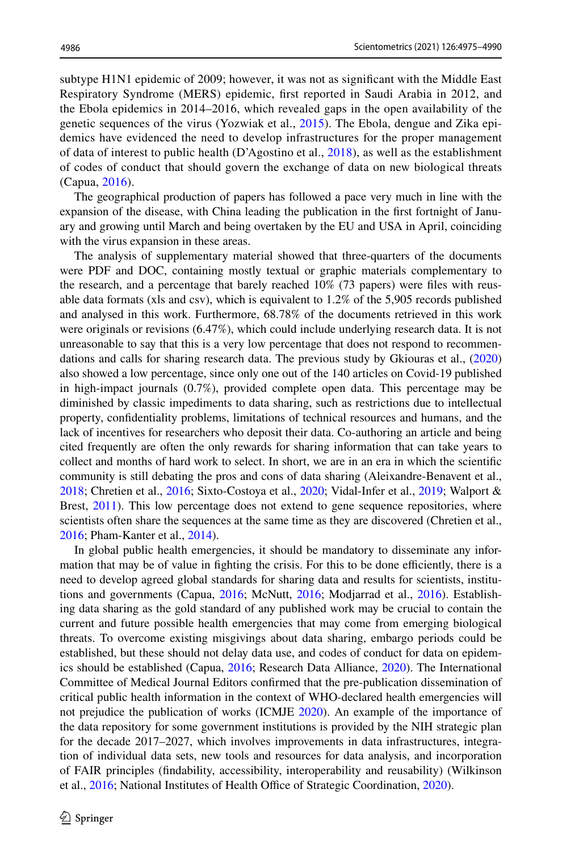subtype H1N1 epidemic of 2009; however, it was not as signifcant with the Middle East Respiratory Syndrome (MERS) epidemic, frst reported in Saudi Arabia in 2012, and the Ebola epidemics in 2014–2016, which revealed gaps in the open availability of the genetic sequences of the virus (Yozwiak et al., [2015\)](#page-15-2). The Ebola, dengue and Zika epidemics have evidenced the need to develop infrastructures for the proper management of data of interest to public health (D'Agostino et al.,  $2018$ ), as well as the establishment of codes of conduct that should govern the exchange of data on new biological threats (Capua, [2016\)](#page-13-14).

The geographical production of papers has followed a pace very much in line with the expansion of the disease, with China leading the publication in the frst fortnight of January and growing until March and being overtaken by the EU and USA in April, coinciding with the virus expansion in these areas.

The analysis of supplementary material showed that three-quarters of the documents were PDF and DOC, containing mostly textual or graphic materials complementary to the research, and a percentage that barely reached 10% (73 papers) were fles with reusable data formats (xls and csv), which is equivalent to 1.2% of the 5,905 records published and analysed in this work. Furthermore, 68.78% of the documents retrieved in this work were originals or revisions (6.47%), which could include underlying research data. It is not unreasonable to say that this is a very low percentage that does not respond to recommendations and calls for sharing research data. The previous study by Gkiouras et al., [\(2020](#page-13-8)) also showed a low percentage, since only one out of the 140 articles on Covid-19 published in high-impact journals (0.7%), provided complete open data. This percentage may be diminished by classic impediments to data sharing, such as restrictions due to intellectual property, confdentiality problems, limitations of technical resources and humans, and the lack of incentives for researchers who deposit their data. Co-authoring an article and being cited frequently are often the only rewards for sharing information that can take years to collect and months of hard work to select. In short, we are in an era in which the scientifc community is still debating the pros and cons of data sharing (Aleixandre-Benavent et al., [2018;](#page-13-15) Chretien et al., [2016](#page-13-5); Sixto-Costoya et al., [2020;](#page-14-13) Vidal-Infer et al., [2019](#page-14-14); Walport & Brest, [2011\)](#page-14-15). This low percentage does not extend to gene sequence repositories, where scientists often share the sequences at the same time as they are discovered (Chretien et al., [2016;](#page-13-5) Pham-Kanter et al., [2014\)](#page-14-16).

In global public health emergencies, it should be mandatory to disseminate any information that may be of value in fighting the crisis. For this to be done efficiently, there is a need to develop agreed global standards for sharing data and results for scientists, institutions and governments (Capua, [2016;](#page-13-14) McNutt, [2016](#page-14-17); Modjarrad et al., [2016\)](#page-14-11). Establishing data sharing as the gold standard of any published work may be crucial to contain the current and future possible health emergencies that may come from emerging biological threats. To overcome existing misgivings about data sharing, embargo periods could be established, but these should not delay data use, and codes of conduct for data on epidemics should be established (Capua, [2016](#page-13-14); Research Data Alliance, [2020\)](#page-14-18). The International Committee of Medical Journal Editors confrmed that the pre-publication dissemination of critical public health information in the context of WHO-declared health emergencies will not prejudice the publication of works (ICMJE [2020\)](#page-13-16). An example of the importance of the data repository for some government institutions is provided by the NIH strategic plan for the decade 2017–2027, which involves improvements in data infrastructures, integration of individual data sets, new tools and resources for data analysis, and incorporation of FAIR principles (fndability, accessibility, interoperability and reusability) (Wilkinson et al., [2016;](#page-15-1) National Institutes of Health Office of Strategic Coordination, [2020\)](#page-14-19).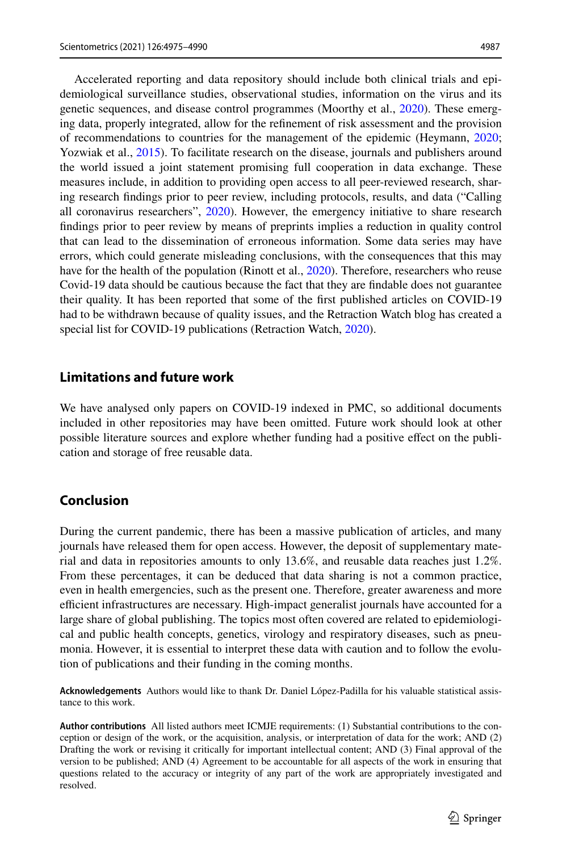Accelerated reporting and data repository should include both clinical trials and epidemiological surveillance studies, observational studies, information on the virus and its genetic sequences, and disease control programmes (Moorthy et al., [2020\)](#page-14-20). These emerging data, properly integrated, allow for the refnement of risk assessment and the provision of recommendations to countries for the management of the epidemic (Heymann, [2020;](#page-13-10) Yozwiak et al., [2015\)](#page-15-2). To facilitate research on the disease, journals and publishers around the world issued a joint statement promising full cooperation in data exchange. These measures include, in addition to providing open access to all peer-reviewed research, sharing research fndings prior to peer review, including protocols, results, and data ("Calling all coronavirus researchers", [2020\)](#page-13-17). However, the emergency initiative to share research fndings prior to peer review by means of preprints implies a reduction in quality control that can lead to the dissemination of erroneous information. Some data series may have errors, which could generate misleading conclusions, with the consequences that this may have for the health of the population (Rinott et al., [2020\)](#page-14-21). Therefore, researchers who reuse Covid-19 data should be cautious because the fact that they are fndable does not guarantee their quality. It has been reported that some of the frst published articles on COVID-19 had to be withdrawn because of quality issues, and the Retraction Watch blog has created a special list for COVID-19 publications (Retraction Watch, [2020\)](#page-14-22).

### **Limitations and future work**

We have analysed only papers on COVID-19 indexed in PMC, so additional documents included in other repositories may have been omitted. Future work should look at other possible literature sources and explore whether funding had a positive efect on the publication and storage of free reusable data.

#### **Conclusion**

During the current pandemic, there has been a massive publication of articles, and many journals have released them for open access. However, the deposit of supplementary material and data in repositories amounts to only 13.6%, and reusable data reaches just 1.2%. From these percentages, it can be deduced that data sharing is not a common practice, even in health emergencies, such as the present one. Therefore, greater awareness and more efficient infrastructures are necessary. High-impact generalist journals have accounted for a large share of global publishing. The topics most often covered are related to epidemiological and public health concepts, genetics, virology and respiratory diseases, such as pneumonia. However, it is essential to interpret these data with caution and to follow the evolution of publications and their funding in the coming months.

**Acknowledgements** Authors would like to thank Dr. Daniel López-Padilla for his valuable statistical assistance to this work.

**Author contributions** All listed authors meet ICMJE requirements: (1) Substantial contributions to the conception or design of the work, or the acquisition, analysis, or interpretation of data for the work; AND (2) Drafting the work or revising it critically for important intellectual content; AND (3) Final approval of the version to be published; AND (4) Agreement to be accountable for all aspects of the work in ensuring that questions related to the accuracy or integrity of any part of the work are appropriately investigated and resolved.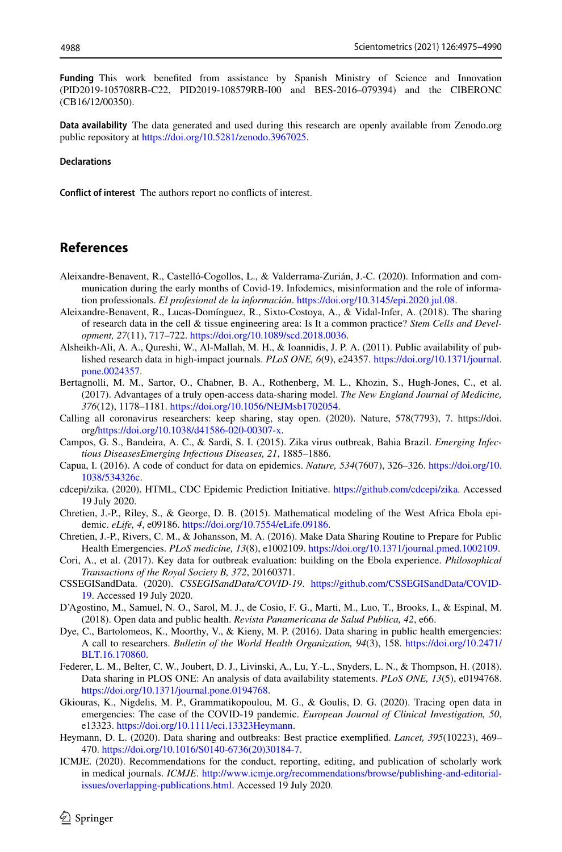**Funding** This work benefted from assistance by Spanish Ministry of Science and Innovation (PID2019-105708RB-C22, PID2019-108579RB-I00 and BES-2016–079394) and the CIBERONC (CB16/12/00350).

**Data availability** The data generated and used during this research are openly available from Zenodo.org public repository at [https://doi.org/10.5281/zenodo.3967025.](https://doi.org/10.5281/zenodo.3967025)

#### **Declarations**

**Confict of interest** The authors report no conficts of interest.

#### **References**

- <span id="page-13-7"></span>Aleixandre-Benavent, R., Castelló-Cogollos, L., & Valderrama-Zurián, J.-C. (2020). Information and communication during the early months of Covid-19. Infodemics, misinformation and the role of information professionals. *El profesional de la información*. [https://doi.org/10.3145/epi.2020.jul.08.](https://doi.org/10.3145/epi.2020.jul.08)
- <span id="page-13-15"></span>Aleixandre-Benavent, R., Lucas-Domínguez, R., Sixto-Costoya, A., & Vidal-Infer, A. (2018). The sharing of research data in the cell & tissue engineering area: Is It a common practice? *Stem Cells and Development, 27*(11), 717–722. [https://doi.org/10.1089/scd.2018.0036.](https://doi.org/10.1089/scd.2018.0036)
- <span id="page-13-0"></span>Alsheikh-Ali, A. A., Qureshi, W., Al-Mallah, M. H., & Ioannidis, J. P. A. (2011). Public availability of published research data in high-impact journals. *PLoS ONE, 6*(9), e24357. [https://doi.org/10.1371/journal.](https://doi.org/10.1371/journal.pone.0024357) [pone.0024357](https://doi.org/10.1371/journal.pone.0024357).
- <span id="page-13-1"></span>Bertagnolli, M. M., Sartor, O., Chabner, B. A., Rothenberg, M. L., Khozin, S., Hugh-Jones, C., et al. (2017). Advantages of a truly open-access data-sharing model. *The New England Journal of Medicine, 376*(12), 1178–1181.<https://doi.org/10.1056/NEJMsb1702054>.
- <span id="page-13-17"></span>Calling all coronavirus researchers: keep sharing, stay open. (2020). Nature, 578(7793), 7. https://doi. org/[https://doi.org/10.1038/d41586-020-00307-x.](https://doi.org/10.1038/d41586-020-00307-x)
- <span id="page-13-11"></span>Campos, G. S., Bandeira, A. C., & Sardi, S. I. (2015). Zika virus outbreak, Bahia Brazil. *Emerging Infectious DiseasesEmerging Infectious Diseases, 21*, 1885–1886.
- <span id="page-13-14"></span>Capua, I. (2016). A code of conduct for data on epidemics. *Nature, 534*(7607), 326–326. [https://doi.org/10.](https://doi.org/10.1038/534326c) [1038/534326c.](https://doi.org/10.1038/534326c)
- <span id="page-13-4"></span>cdcepi/zika. (2020). HTML, CDC Epidemic Prediction Initiative. <https://github.com/cdcepi/zika>. Accessed 19 July 2020.
- <span id="page-13-3"></span>Chretien, J.-P., Riley, S., & George, D. B. (2015). Mathematical modeling of the West Africa Ebola epidemic. *eLife, 4*, e09186. [https://doi.org/10.7554/eLife.09186.](https://doi.org/10.7554/eLife.09186)
- <span id="page-13-5"></span>Chretien, J.-P., Rivers, C. M., & Johansson, M. A. (2016). Make Data Sharing Routine to Prepare for Public Health Emergencies. *PLoS medicine, 13*(8), e1002109.<https://doi.org/10.1371/journal.pmed.1002109>.
- <span id="page-13-12"></span>Cori, A., et al. (2017). Key data for outbreak evaluation: building on the Ebola experience. *Philosophical Transactions of the Royal Society B, 372*, 20160371.
- <span id="page-13-6"></span>CSSEGISandData. (2020). *CSSEGISandData/COVID-19*. [https://github.com/CSSEGISandData/COVID-](https://github.com/CSSEGISandData/COVID-19)[19.](https://github.com/CSSEGISandData/COVID-19) Accessed 19 July 2020.
- <span id="page-13-13"></span>D'Agostino, M., Samuel, N. O., Sarol, M. J., de Cosio, F. G., Marti, M., Luo, T., Brooks, I., & Espinal, M. (2018). Open data and public health. *Revista Panamericana de Salud Publica, 42*, e66.
- <span id="page-13-9"></span>Dye, C., Bartolomeos, K., Moorthy, V., & Kieny, M. P. (2016). Data sharing in public health emergencies: A call to researchers. *Bulletin of the World Health Organization, 94*(3), 158. [https://doi.org/10.2471/](https://doi.org/10.2471/BLT.16.170860) [BLT.16.170860](https://doi.org/10.2471/BLT.16.170860).
- <span id="page-13-2"></span>Federer, L. M., Belter, C. W., Joubert, D. J., Livinski, A., Lu, Y.-L., Snyders, L. N., & Thompson, H. (2018). Data sharing in PLOS ONE: An analysis of data availability statements. *PLoS ONE, 13*(5), e0194768. [https://doi.org/10.1371/journal.pone.0194768.](https://doi.org/10.1371/journal.pone.0194768)
- <span id="page-13-8"></span>Gkiouras, K., Nigdelis, M. P., Grammatikopoulou, M. G., & Goulis, D. G. (2020). Tracing open data in emergencies: The case of the COVID-19 pandemic. *European Journal of Clinical Investigation, 50*, e13323.<https://doi.org/10.1111/eci.13323Heymann>.
- <span id="page-13-10"></span>Heymann, D. L. (2020). Data sharing and outbreaks: Best practice exemplifed. *Lancet, 395*(10223), 469– 470. [https://doi.org/10.1016/S0140-6736\(20\)30184-7](https://doi.org/10.1016/S0140-6736(20)30184-7).
- <span id="page-13-16"></span>ICMJE. (2020). Recommendations for the conduct, reporting, editing, and publication of scholarly work in medical journals. *ICMJE*. [http://www.icmje.org/recommendations/browse/publishing-and-editorial](http://www.icmje.org/recommendations/browse/publishing-and-editorial-issues/overlapping-publications.html)[issues/overlapping-publications.html](http://www.icmje.org/recommendations/browse/publishing-and-editorial-issues/overlapping-publications.html). Accessed 19 July 2020.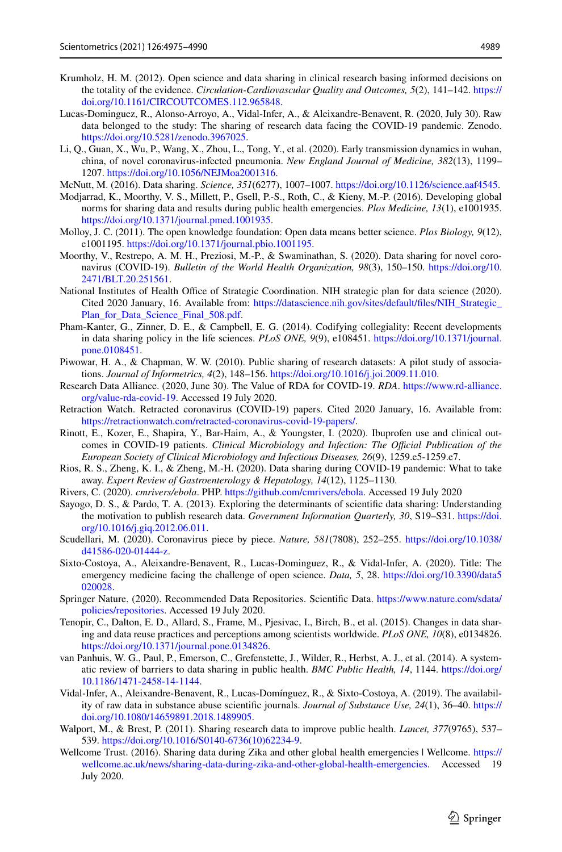- <span id="page-14-0"></span>Krumholz, H. M. (2012). Open science and data sharing in clinical research basing informed decisions on the totality of the evidence. *Circulation-Cardiovascular Quality and Outcomes, 5*(2), 141–142. [https://](https://doi.org/10.1161/CIRCOUTCOMES.112.965848) [doi.org/10.1161/CIRCOUTCOMES.112.965848](https://doi.org/10.1161/CIRCOUTCOMES.112.965848).
- <span id="page-14-9"></span>Lucas-Dominguez, R., Alonso-Arroyo, A., Vidal-Infer, A., & Aleixandre-Benavent, R. (2020, July 30). Raw data belonged to the study: The sharing of research data facing the COVID-19 pandemic. Zenodo. <https://doi.org/10.5281/zenodo.3967025>.
- <span id="page-14-17"></span>Li, Q., Guan, X., Wu, P., Wang, X., Zhou, L., Tong, Y., et al. (2020). Early transmission dynamics in wuhan, china, of novel coronavirus-infected pneumonia. *New England Journal of Medicine, 382*(13), 1199– 1207. [https://doi.org/10.1056/NEJMoa2001316.](https://doi.org/10.1056/NEJMoa2001316)
- McNutt, M. (2016). Data sharing. *Science, 351*(6277), 1007–1007. <https://doi.org/10.1126/science.aaf4545>.
- <span id="page-14-11"></span>Modjarrad, K., Moorthy, V. S., Millett, P., Gsell, P.-S., Roth, C., & Kieny, M.-P. (2016). Developing global norms for sharing data and results during public health emergencies. *Plos Medicine, 13*(1), e1001935. [https://doi.org/10.1371/journal.pmed.1001935.](https://doi.org/10.1371/journal.pmed.1001935)
- <span id="page-14-1"></span>Molloy, J. C. (2011). The open knowledge foundation: Open data means better science. *Plos Biology, 9*(12), e1001195. [https://doi.org/10.1371/journal.pbio.1001195.](https://doi.org/10.1371/journal.pbio.1001195)
- <span id="page-14-20"></span>Moorthy, V., Restrepo, A. M. H., Preziosi, M.-P., & Swaminathan, S. (2020). Data sharing for novel coronavirus (COVID-19). *Bulletin of the World Health Organization, 98*(3), 150–150. [https://doi.org/10.](https://doi.org/10.2471/BLT.20.251561) [2471/BLT.20.251561](https://doi.org/10.2471/BLT.20.251561).
- <span id="page-14-19"></span>National Institutes of Health Office of Strategic Coordination. NIH strategic plan for data science (2020). Cited 2020 January, 16. Available from: [https://datascience.nih.gov/sites/default/fles/NIH\\_Strategic\\_](https://datascience.nih.gov/sites/default/files/NIH_Strategic_Plan_for_Data_Science_Final_508.pdf) Plan for Data Science Final 508.pdf.
- <span id="page-14-16"></span>Pham-Kanter, G., Zinner, D. E., & Campbell, E. G. (2014). Codifying collegiality: Recent developments in data sharing policy in the life sciences. *PLoS ONE, 9*(9), e108451. [https://doi.org/10.1371/journal.](https://doi.org/10.1371/journal.pone.0108451) [pone.0108451](https://doi.org/10.1371/journal.pone.0108451).
- <span id="page-14-3"></span>Piwowar, H. A., & Chapman, W. W. (2010). Public sharing of research datasets: A pilot study of associations. *Journal of Informetrics, 4*(2), 148–156. [https://doi.org/10.1016/j.joi.2009.11.010.](https://doi.org/10.1016/j.joi.2009.11.010)
- <span id="page-14-18"></span>Research Data Alliance. (2020, June 30). The Value of RDA for COVID-19. *RDA*. [https://www.rd-alliance.](https://www.rd-alliance.org/value-rda-covid-19) [org/value-rda-covid-19](https://www.rd-alliance.org/value-rda-covid-19). Accessed 19 July 2020.
- <span id="page-14-22"></span>Retraction Watch. Retracted coronavirus (COVID-19) papers. Cited 2020 January, 16. Available from: [https://retractionwatch.com/retracted-coronavirus-covid-19-papers/.](https://retractionwatch.com/retracted-coronavirus-covid-19-papers/)
- <span id="page-14-21"></span>Rinott, E., Kozer, E., Shapira, Y., Bar-Haim, A., & Youngster, I. (2020). Ibuprofen use and clinical outcomes in COVID-19 patients. *Clinical Microbiology and Infection: The Official Publication of the European Society of Clinical Microbiology and Infectious Diseases, 26*(9), 1259.e5-1259.e7.
- <span id="page-14-10"></span>Rios, R. S., Zheng, K. I., & Zheng, M.-H. (2020). Data sharing during COVID-19 pandemic: What to take away. *Expert Review of Gastroenterology & Hepatology, 14*(12), 1125–1130.
- <span id="page-14-7"></span>Rivers, C. (2020). *cmrivers/ebola*. PHP. <https://github.com/cmrivers/ebola>. Accessed 19 July 2020
- <span id="page-14-2"></span>Sayogo, D. S., & Pardo, T. A. (2013). Exploring the determinants of scientifc data sharing: Understanding the motivation to publish research data. *Government Information Quarterly, 30*, S19–S31. [https://doi.](https://doi.org/10.1016/j.giq.2012.06.011) [org/10.1016/j.giq.2012.06.011](https://doi.org/10.1016/j.giq.2012.06.011).
- <span id="page-14-12"></span>Scudellari, M. (2020). Coronavirus piece by piece. *Nature, 581*(7808), 252–255. [https://doi.org/10.1038/](https://doi.org/10.1038/d41586-020-01444-z) [d41586-020-01444-z](https://doi.org/10.1038/d41586-020-01444-z).
- <span id="page-14-13"></span>Sixto-Costoya, A., Aleixandre-Benavent, R., Lucas-Dominguez, R., & Vidal-Infer, A. (2020). Title: The emergency medicine facing the challenge of open science. *Data, 5*, 28. [https://doi.org/10.3390/data5](https://doi.org/10.3390/data5020028) [020028.](https://doi.org/10.3390/data5020028)
- <span id="page-14-5"></span>Springer Nature. (2020). Recommended Data Repositories. Scientifc Data. [https://www.nature.com/sdata/](https://www.nature.com/sdata/policies/repositories) [policies/repositories](https://www.nature.com/sdata/policies/repositories). Accessed 19 July 2020.
- <span id="page-14-4"></span>Tenopir, C., Dalton, E. D., Allard, S., Frame, M., Pjesivac, I., Birch, B., et al. (2015). Changes in data sharing and data reuse practices and perceptions among scientists worldwide. *PLoS ONE, 10*(8), e0134826. [https://doi.org/10.1371/journal.pone.0134826.](https://doi.org/10.1371/journal.pone.0134826)
- <span id="page-14-8"></span>van Panhuis, W. G., Paul, P., Emerson, C., Grefenstette, J., Wilder, R., Herbst, A. J., et al. (2014). A systematic review of barriers to data sharing in public health. *BMC Public Health, 14*, 1144. [https://doi.org/](https://doi.org/10.1186/1471-2458-14-1144) [10.1186/1471-2458-14-1144](https://doi.org/10.1186/1471-2458-14-1144).
- <span id="page-14-14"></span>Vidal-Infer, A., Aleixandre-Benavent, R., Lucas-Domínguez, R., & Sixto-Costoya, A. (2019). The availability of raw data in substance abuse scientifc journals. *Journal of Substance Use, 24*(1), 36–40. [https://](https://doi.org/10.1080/14659891.2018.1489905) [doi.org/10.1080/14659891.2018.1489905.](https://doi.org/10.1080/14659891.2018.1489905)
- <span id="page-14-15"></span>Walport, M., & Brest, P. (2011). Sharing research data to improve public health. *Lancet, 377*(9765), 537– 539. [https://doi.org/10.1016/S0140-6736\(10\)62234-9](https://doi.org/10.1016/S0140-6736(10)62234-9).
- <span id="page-14-6"></span>Wellcome Trust. (2016). Sharing data during Zika and other global health emergencies | Wellcome. [https://](https://wellcome.ac.uk/news/sharing-data-during-zika-and-other-global-health-emergencies) [wellcome.ac.uk/news/sharing-data-during-zika-and-other-global-health-emergencies](https://wellcome.ac.uk/news/sharing-data-during-zika-and-other-global-health-emergencies). Accessed 19 July 2020.